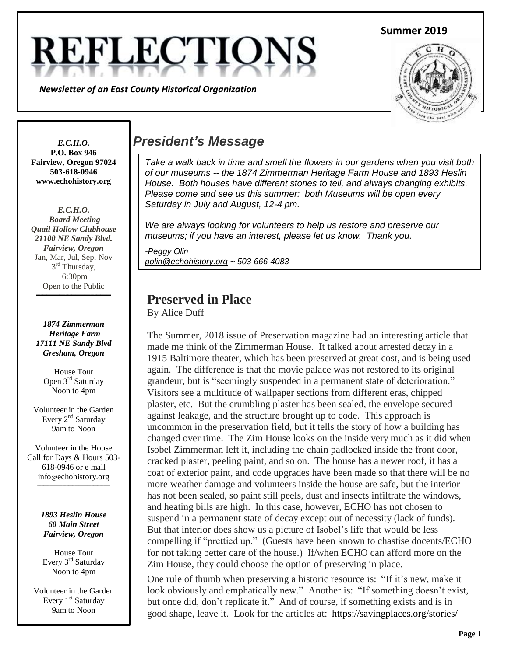# **REFLECTIO**

*Newsletter of an East County Historical Organization*





**P.O. Box 946 Fairview, Oregon 97024 503-618-0946 www.echohistory.org**

*E.C.H.O. Board Meeting Quail Hollow Clubhouse 21100 NE Sandy Blvd. Fairview, Oregon* Jan, Mar, Jul, Sep, Nov 3<sup>rd</sup> Thursday, 6:30pm Open to the Public

**\_\_\_\_\_\_\_\_\_\_\_\_\_\_\_\_\_\_\_\_\_\_\_\_\_\_\_\_\_\_\_\_\_\_\_\_**

*1874 Zimmerman Heritage Farm 17111 NE Sandy Blvd Gresham, Oregon*

> House Tour Open 3<sup>rd</sup> Saturday Noon to 4pm

Volunteer in the Garden Every 2<sup>nd</sup> Saturday 9am to Noon

Volunteer in the House Call for Days & Hours 503- 618-0946 or e-mail info@echohistory.org **\_\_\_\_\_\_\_\_\_\_\_\_\_\_\_\_\_\_\_\_\_\_\_\_\_\_\_\_\_\_\_\_\_\_\_**

> *1893 Heslin House 60 Main Street Fairview, Oregon*

House Tour Every 3<sup>rd</sup> Saturday Noon to 4pm

Volunteer in the Garden Every 1<sup>st</sup> Saturday 9am to Noon

# *E.C.H.O. President's Message*

*Take a walk back in time and smell the flowers in our gardens when you visit both of our museums -- the 1874 Zimmerman Heritage Farm House and 1893 Heslin House. Both houses have different stories to tell, and always changing exhibits. Please come and see us this summer: both Museums will be open every Saturday in July and August, 12-4 pm.*

*We are always looking for volunteers to help us restore and preserve our museums; if you have an interest, please let us know. Thank you.*

*-Peggy Olin polin@echohistory.org ~ 503-666-4083*

## **Preserved in Place**

By Alice Duff

The Summer, 2018 issue of Preservation magazine had an interesting article that made me think of the Zimmerman House. It talked about arrested decay in a 1915 Baltimore theater, which has been preserved at great cost, and is being used again. The difference is that the movie palace was not restored to its original grandeur, but is "seemingly suspended in a permanent state of deterioration." Visitors see a multitude of wallpaper sections from different eras, chipped plaster, etc. But the crumbling plaster has been sealed, the envelope secured against leakage, and the structure brought up to code. This approach is uncommon in the preservation field, but it tells the story of how a building has changed over time. The Zim House looks on the inside very much as it did when Isobel Zimmerman left it, including the chain padlocked inside the front door, cracked plaster, peeling paint, and so on. The house has a newer roof, it has a coat of exterior paint, and code upgrades have been made so that there will be no more weather damage and volunteers inside the house are safe, but the interior has not been sealed, so paint still peels, dust and insects infiltrate the windows, and heating bills are high. In this case, however, ECHO has not chosen to suspend in a permanent state of decay except out of necessity (lack of funds). But that interior does show us a picture of Isobel's life that would be less compelling if "prettied up." (Guests have been known to chastise docents/ECHO for not taking better care of the house.) If/when ECHO can afford more on the Zim House, they could choose the option of preserving in place.

One rule of thumb when preserving a historic resource is: "If it's new, make it look obviously and emphatically new." Another is: "If something doesn't exist, but once did, don't replicate it." And of course, if something exists and is in good shape, leave it. Look for the articles at: https://savingplaces.org/stories/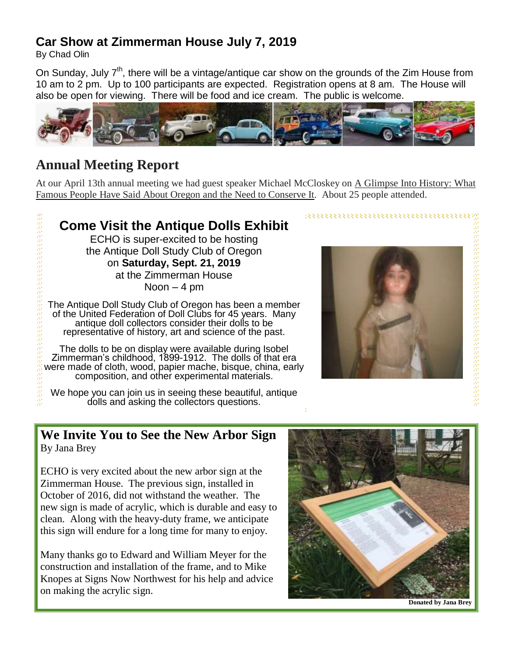## **Car Show at Zimmerman House July 7, 2019**

By Chad Olin

a sa sa sa sa sa sa sa sa sa sa sa sa s

On Sunday, July 7<sup>th</sup>, there will be a vintage/antique car show on the grounds of the Zim House from 10 am to 2 pm. Up to 100 participants are expected. Registration opens at 8 am. The House will also be open for viewing. There will be food and ice cream. The public is welcome.



# **Annual Meeting Report**

At our April 13th annual meeting we had guest speaker Michael McCloskey on A Glimpse Into History: What Famous People Have Said About Oregon and the Need to Conserve It. About 25 people attended.

# **Come Visit the Antique Dolls Exhibit**

ECHO is super-excited to be hosting the Antique Doll Study Club of Oregon on **Saturday, Sept. 21, 2019** at the Zimmerman House

Noon  $-4$  pm

The Antique Doll Study Club of Oregon has been a member of the United Federation of Doll Clubs for 45 years. Many antique doll collectors consider their dolls to be representative of history, art and science of the past.

The dolls to be on display were available during Isobel Zimmerman's childhood, 1899-1912. The dolls of that era were made of cloth, wood, papier mache, bisque, china, early composition, and other experimental materials.

We hope you can join us in seeing these beautiful, antique dolls and asking the collectors questions.



#### **We Invite You to See the New Arbor Sign** By Jana Brey

ECHO is very excited about the new arbor sign at the Zimmerman House. The previous sign, installed in October of 2016, did not withstand the weather. The new sign is made of acrylic, which is durable and easy to clean. Along with the heavy-duty frame, we anticipate this sign will endure for a long time for many to enjoy.

Many thanks go to Edward and William Meyer for the construction and installation of the frame, and to Mike Knopes at Signs Now Northwest for his help and advice on making the acrylic sign.



**Donated by Jana Brey**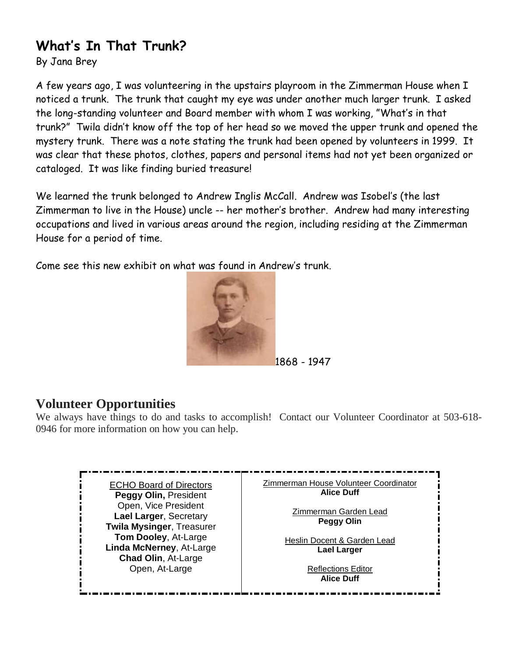# **What's In That Trunk?**

By Jana Brey

A few years ago, I was volunteering in the upstairs playroom in the Zimmerman House when I noticed a trunk. The trunk that caught my eye was under another much larger trunk. I asked the long-standing volunteer and Board member with whom I was working, "What's in that trunk?" Twila didn't know off the top of her head so we moved the upper trunk and opened the mystery trunk. There was a note stating the trunk had been opened by volunteers in 1999. It was clear that these photos, clothes, papers and personal items had not yet been organized or cataloged. It was like finding buried treasure!

We learned the trunk belonged to Andrew Inglis McCall. Andrew was Isobel's (the last Zimmerman to live in the House) uncle -- her mother's brother. Andrew had many interesting occupations and lived in various areas around the region, including residing at the Zimmerman House for a period of time.

Come see this new exhibit on what was found in Andrew's trunk.



1868 - 1947

## **Volunteer Opportunities**

We always have things to do and tasks to accomplish! Contact our Volunteer Coordinator at 503-618-0946 for more information on how you can help.